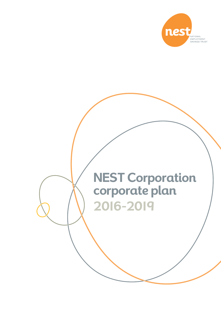

# **NEST Corporation corporate plan 2016-2019**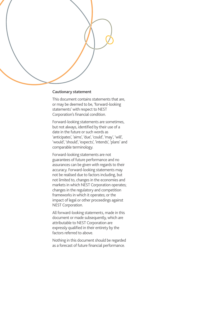#### **Cautionary statement**

This document contains statements that are, or may be deemed to be, 'forward-looking statements' with respect to NEST Corporation's financial condition.

Forward-looking statements are sometimes, but not always, identified by their use of a date in the future or such words as 'anticipates', 'aims', 'due', 'could', 'may', 'will', 'would', 'should', 'expects', 'intends', 'plans' and comparable terminology.

Forward-looking statements are not guarantees of future performance and no assurances can be given with regards to their accuracy. Forward-looking statements may not be realised due to factors including, but not limited to, changes in the economies and markets in which NEST Corporation operates; changes in the regulatory and competition frameworks in which it operates; or the impact of legal or other proceedings against NEST Corporation.

All forward-looking statements, made in this document or made subsequently, which are attributable to NEST Corporation are expressly qualified in their entirety by the factors referred to above.

Nothing in this document should be regarded as a forecast of future financial performance.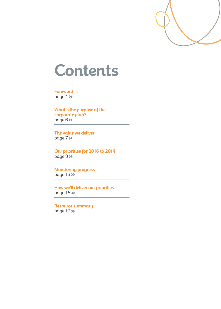

# **Contents**

**Foreword** page 4

**What's the purpose of the corporate plan?** page 6

**The value we deliver** page 7

**Our priorities for 2016 to 2019** page 8

**Monitoring progress** page 13>>

**How we'll deliver our priorities** page 16

**Resource summary** page 17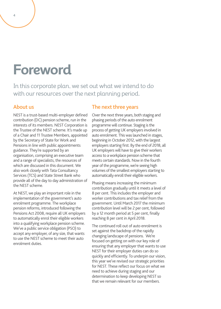# **Foreword**

In this corporate plan, we set out what we intend to do with our resources over the next planning period.

#### About us

NEST is a trust-based multi-employer defined contribution (DC) pension scheme, run in the interests of its members. NEST Corporation is the Trustee of the NEST scheme. It's made up of a Chair and 11 Trustee Members, appointed by the Secretary of State for Work and Pensions in line with public appointments guidance. They're supported by an organisation, comprising an executive team and a range of specialists, the resources of which are discussed in this document. We also work closely with Tata Consultancy Services (TCS) and State Street Bank who provide all of the day to day administration of the NEST scheme.

At NEST, we play an important role in the implementation of the government's auto enrolment programme. The workplace pension reforms, introduced following the Pensions Act 2008, require all UK employers to automatically enrol their eligible workers into a qualifying workplace pension scheme. We've a public service obligation (PSO) to accept any employer, of any size, that wants to use the NEST scheme to meet their auto enrolment duties.

#### The next three years

Over the next three years, both staging and phasing periods of the auto enrolment programme will continue. Staging is the process of getting UK employers involved in auto enrolment. This was launched in stages, beginning in October 2012, with the largest employers starting first. By the end of 2018, all UK employers will have to give their workers access to a workplace pension scheme that meets certain standards. Now in the fourth year of the programme, we're seeing high volumes of the smallest employers starting to automatically enroll their eligible workers.

Phasing means increasing the minimum contribution gradually until it meets a level of 8 per cent. This includes the employer and worker contributions and tax relief from the government. Until March 2017 the minimum contribution level will be 2 per cent, followed by a 12 month period at 5 per cent, finally reaching 8 per cent in April 2018.

The continued roll out of auto enrolment is set against the backdrop of the rapidly changing landscape of pensions. We're focused on getting on with our key role of ensuring that any employer that wants to use NEST for their employer duties can do so quickly and efficiently. To underpin our vision, this year we've revised our strategic priorities for NEST. These reflect our focus on what we need to achieve during staging and our determination to keep developing NEST so that we remain relevant for our members.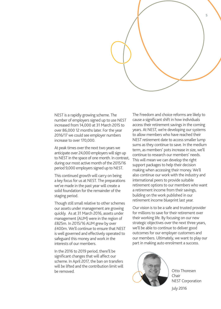

NEST is a rapidly growing scheme. The number of employers signed up to use NEST increased from 14,000 at 31 March 2015 to over 86,000 12 months later. For the year 2016/17 we could see employer numbers increase to over 170,000.

At peak times over the next two years we anticipate over 24,000 employers will sign up to NEST in the space of one month. In contrast, during our most active month of the 2015/16 period 9,000 employers signed up to NEST.

This continued growth will carry on being a key focus for us at NEST. The preparations we've made in the past year will create a solid foundation for the remainder of the staging period.

Though still small relative to other schemes our assets under management are growing quickly. As at 31 March 2016, assets under management (AUM) were in the region of £825m. In 2015/16 AUM grew by over £400m. We'll continue to ensure that NEST is well governed and effectively operated to safeguard this money and work in the interests of our members.

In the 2016 to 2019 period, there'll be significant changes that will affect our scheme. In April 2017, the ban on transfers will be lifted and the contribution limit will be removed.

The Freedom and choice reforms are likely to cause a significant shift in how individuals access their retirement savings in the coming years. At NEST, we're developing our systems to allow members who have reached their NEST retirement date to access smaller lump sums as they continue to save. In the medium term, as members' pots increase in size, we'll continue to research our members' needs. This will mean we can develop the right support packages to help their decision making when accessing their money. We'll also continue our work with the industry and international peers to provide suitable retirement options to our members who want a retirement income from their savings, building on the work published in our retirement income blueprint last year.

Our vision is to be a safe and trusted provider for millions to save for their retirement over their working life. By focusing on our new strategic objectives over the next three years, we'll be able to continue to deliver good outcomes for our employer customers and our members. Ultimately, we want to play our part in making auto enrolment a success.



Otto Thoresen Chair NEST Corporation July 2016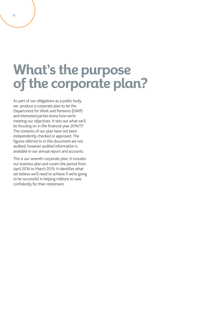## **What's the purpose of the corporate plan?**

As part of our obligations as a public body, we produce a corporate plan to let the Department for Work and Pensions (DWP) and interested parties know how we're meeting our objectives. It sets out what we'll be focusing on in the financial year 2016/17. The contents of our plan have not been independently checked or approved. The figures referred to in this document are not audited, however audited information is available in our annual report and accounts.

This is our seventh corporate plan. It includes our business plan and covers the period from April 2016 to March 2019. It identifies what we believe we'll need to achieve if we're going to be successful in helping millions to save confidently for their retirement.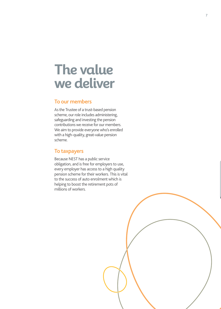### **The value we deliver**

#### To our members

As the Trustee of a trust-based pension scheme, our role includes administering, safeguarding and investing the pension contributions we receive for our members. We aim to provide everyone who's enrolled with a high-quality, great-value pension scheme.

#### To taxpayers

Because NEST has a public service obligation, and is free for employers to use, every employer has access to a high quality pension scheme for their workers. This is vital to the success of auto enrolment which is helping to boost the retirement pots of millions of workers.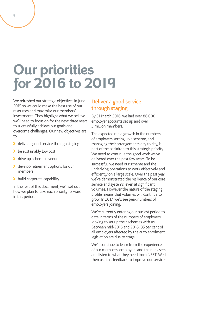# **Our priorities for 2016 to 2019**

We refreshed our strategic objectives in June 2015 so we could make the best use of our resources and maximise our members' investments. They highlight what we believe we'll need to focus on for the next three years to successfully achieve our goals and overcome challenges. Our new objectives are to:

- deliver a good service through staging
- be sustainably low cost
- **If** drive up scheme revenue
- **b** develop retirement options for our members
- build corporate capability.

In the rest of this document, we'll set out how we plan to take each priority forward in this period.

#### Deliver a good service through staging

By 31 March 2016, we had over 86,000 employer accounts set up and over 3 million members.

The expected rapid growth in the numbers of employers setting up a scheme, and managing their arrangements day to day, is part of the backdrop to this strategic priority. We need to continue the good work we've delivered over the past few years. To be successful, we need our scheme and the underlying operations to work effectively and efficiently on a large scale. Over the past year we've demonstrated the resilience of our core service and systems, even at significant volumes. However the nature of the staging profile means that volumes will continue to grow. In 2017, we'll see peak numbers of employers joining.

We're currently entering our busiest period to date in terms of the numbers of employers looking to set up their schemes with us. Between mid-2016 and 2018, 85 per cent of all employers affected by the auto enrolment legislation are due to stage.

We'll continue to learn from the experiences of our members, employers and their advisers and listen to what they need from NEST. We'll then use this feedback to improve our service.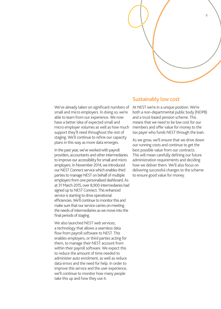

We've already taken on significant numbers of small and micro employers. In doing so, we're able to learn from our experience. We now have a better idea of expected small and micro employer volumes as well as how much support they'll need throughout the rest of staging. We'll continue to refine our capacity plans in this way as more data emerges.

In the past year, we've worked with payroll providers, accountants and other intermediaries to improve our accessibility for small and micro employers. In November 2014, we introduced our NEST Connect service which enables third parties to manage NEST on behalf of multiple employers from one personalised dashboard. As at 31 March 2015, over 8,900 intermediaries had signed up to NEST Connect. This enhanced service is starting to drive operational efficiencies. We'll continue to monitor this and make sure that our service carries on meeting the needs of intermediaries as we move into the final periods of staging.

We also launched NEST web services. a technology that allows a seamless data flow from payroll software to NEST. This enables employers, or third parties acting for them, to manage their NEST account from within their payroll software. We expect this to reduce the amount of time needed to administer auto enrolment, as well as reduce data errors and the need for help. In order to improve this service and the user experience, we'll continue to monitor how many people take this up and how they use it.

#### Sustainably low cost

At NEST we're in a unique position. We're both a non-departmental public body (NDPB) and a trust-based pension scheme. This means that we need to be low cost for our members and offer value for money to the tax payer who funds NEST through the loan.

As we grow, we'll ensure that we drive down our running costs and continue to get the best possible value from our contracts. This will mean carefully defining our future administration requirements and deciding how we deliver them. We'll also focus on delivering successful changes to the scheme to ensure good value for money.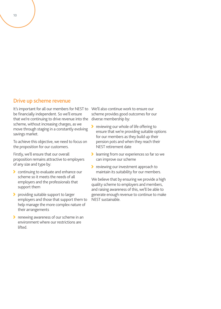#### Drive up scheme revenue

It's important for all our members for NEST to be financially independent. So we'll ensure that we're continuing to drive revenue into the scheme, without increasing charges, as we move through staging in a constantly evolving savings market.

To achieve this objective, we need to focus on the proposition for our customers.

Firstly, we'll ensure that our overall proposition remains attractive to employers of any size and type by:

- **Continuing to evaluate and enhance our** scheme so it meets the needs of all employers and the professionals that support them
- **P** providing suitable support to larger employers and those that support them to help manage the more complex nature of their arrangements
- **P** renewing awareness of our scheme in an environment where our restrictions are lifted.

We'll also continue work to ensure our scheme provides good outcomes for our diverse membership by:

- ⋗ reviewing our whole of life offering to ensure that we're providing suitable options for our members as they build up their pension pots and when they reach their NEST retirement date
- **I** learning from our experiences so far so we can improve our scheme
- reviewing our investment approach to maintain its suitability for our members.

We believe that by ensuring we provide a high quality scheme to employers and members, and raising awareness of this, we'll be able to generate enough revenue to continue to make NEST sustainable.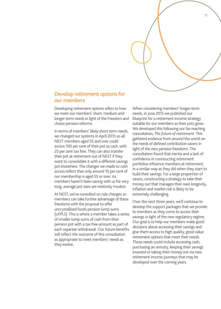

#### Develop retirement options for our members

Developing retirement options refers to how we meet our members' short, medium and longer-term needs in light of the Freedom and choice pension reforms.

In terms of members' likely short-term needs, we changed our systems in April 2015 so all NEST members aged 55 and over could access 100 per cent of their pot as cash, with 25 per cent tax free. They can also transfer their pot at retirement out of NEST if they want to consolidate it with a different savings pot elsewhere. The changes we made to cash access reflect that only around 10 per cent of our membership is aged 55 or over. As members haven't been saving with us for very long, average pot sizes are relatively modest.

At NEST, we've consulted on rule changes so members can take further advantage of these freedoms with the proposal to offer uncrystallised funds pension lump sums (UFPLS). This is where a member takes a series of smaller lump sums of cash from their pension pot with a tax free amount as part of each separate withdrawal. Our future benefits will reflect the outcome of this consultation as appropriate to meet members' needs as they evolve.

When considering members' longer-term needs, in June 2015 we published our blueprint for a retirement income strategy suitable for our members as their pots grow. We developed this following our far-reaching consultation, *The future of retirement*. This gathered evidence from around the world on the needs of defined contribution savers in light of the new pension freedoms. The consultation found that inertia and a lack of confidence in constructing retirement portfolios influence members at retirement, in a similar way as they did when they start to build their savings. For a large proportion of savers, constructing a strategy to take their money out that manages their own longevity, inflation and market risk is likely to be extremely challenging.

Over the next three years, we'll continue to develop the support packages that we provide to members as they come to access their savings in light of the new regulatory regime. Our goal is to help our members make good decisions about accessing their savings and give them access to high quality, good value retirement options that meet their needs. Those needs could include accessing cash, purchasing an annuity, keeping their savings invested or taking their money out via new retirement income journeys that may be developed over the coming years.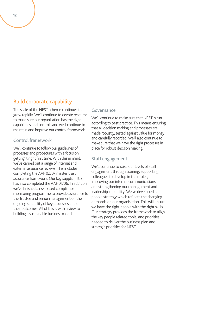#### Build corporate capability

The scale of the NEST scheme continues to grow rapidly. We'll continue to devote resource to make sure our organisation has the right capabilities and controls and we'll continue to maintain and improve our control framework.

#### Control framework

We'll continue to follow our guidelines of processes and procedures with a focus on getting it right first time. With this in mind, we've carried out a range of internal and external assurance reviews. This includes completing the AAF 02/07 master trust assurance framework. Our key supplier, TCS, has also completed the AAF 01/06. In addition, we've finished a risk-based compliance monitoring programme to provide assurance to the Trustee and senior management on the ongoing suitability of key processes and on their outcomes. All of this is with a view to building a sustainable business model.

#### Governance

We'll continue to make sure that NEST is run according to best practice. This means ensuring that all decision making and processes are made robustly, tested against value for money and carefully recorded. We'll also continue to make sure that we have the right processes in place for robust decision making.

#### Staff engagement

We'll continue to raise our levels of staff engagement through training, supporting colleagues to develop in their roles, improving our internal communications and strengthening our management and leadership capability. We've developed a people strategy which reflects the changing demands on our organisation. This will ensure we have the right people with the right skills. Our strategy provides the framework to align the key people related tools, and priorities, needed to deliver the business plan and strategic priorities for NEST.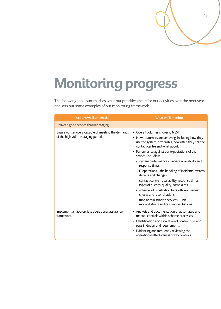# **Monitoring progress**

The following table summarises what our priorities mean for our activities over the next year and sets out some examples of our monitoring framework.

13

| <b>Actions we'll undertake</b>                                                             | What we'll monitor                                                                                                                                                                                                                                                                                                                          |  |  |  |
|--------------------------------------------------------------------------------------------|---------------------------------------------------------------------------------------------------------------------------------------------------------------------------------------------------------------------------------------------------------------------------------------------------------------------------------------------|--|--|--|
| Deliver a good service through staging                                                     |                                                                                                                                                                                                                                                                                                                                             |  |  |  |
| Ensure our service is capable of meeting the demands<br>of the high volume staging period. | • Overall volumes choosing NEST<br>• How customers are behaving, including how they<br>use the system, error rates, how often they call the<br>contact centre and what about.<br>• Performance against our expectations of the<br>service, including:<br>- system performance - website availability and<br>response times                  |  |  |  |
|                                                                                            | - IT operations – the handling of incidents, system<br>defects and changes<br>- contact centre - availability, response times,<br>types of queries, quality, complaints<br>- scheme administration back office - manual<br>checks and reconciliations<br>- fund administration services - unit<br>reconciliations and cash reconciliations. |  |  |  |
| Implement an appropriate operational assurance<br>framework.                               | • Analysis and documentation of automated and<br>manual controls within scheme processes.<br>Identification and escalation of control risks and<br>gaps in design and requirements.<br>Evidencing and frequently reviewing the<br>$\bullet$<br>operational effectiveness of key controls.                                                   |  |  |  |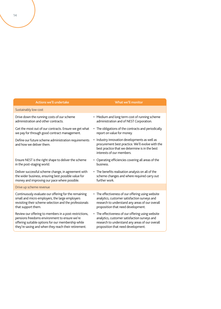| <b>Actions we'll undertake</b>                                                   | What we'll monitor                                                                                                                                                             |  |  |  |
|----------------------------------------------------------------------------------|--------------------------------------------------------------------------------------------------------------------------------------------------------------------------------|--|--|--|
| Sustainably low cost                                                             |                                                                                                                                                                                |  |  |  |
| Drive down the running costs of our scheme                                       | • Medium and long term cost of running scheme                                                                                                                                  |  |  |  |
| administration and other contracts.                                              | administration and of NEST Corporation.                                                                                                                                        |  |  |  |
| Get the most out of our contracts. Ensure we get what                            | • The obligations of the contracts and periodically                                                                                                                            |  |  |  |
| we pay for through good contract management.                                     | report on value for money.                                                                                                                                                     |  |  |  |
| Define our future scheme administration requirements<br>and how we deliver them. | Industry innovation developments as well as<br>procurement best practice. We'll evolve with the<br>best practice that we determine is in the best<br>interests of our members. |  |  |  |
| Ensure NEST is the right shape to deliver the scheme                             | • Operating efficiencies covering all areas of the                                                                                                                             |  |  |  |
| in the post-staging world.                                                       | business.                                                                                                                                                                      |  |  |  |
| Deliver successful scheme change, in agreement with                              | • The benefits realisation analysis on all of the                                                                                                                              |  |  |  |
| the wider business, ensuring best possible value for                             | scheme changes and where required carry out                                                                                                                                    |  |  |  |
| money and improving our pace where possible.                                     | further work.                                                                                                                                                                  |  |  |  |
| Drive up scheme revenue                                                          |                                                                                                                                                                                |  |  |  |
| Continuously evaluate our offering for the remaining                             | • The effectiveness of our offering using website                                                                                                                              |  |  |  |
| small and micro employers, the large employers                                   | analytics, customer satisfaction surveys and                                                                                                                                   |  |  |  |
| revisiting their scheme selection and the professionals                          | research to understand any areas of our overall                                                                                                                                |  |  |  |
| that support them.                                                               | proposition that need development.                                                                                                                                             |  |  |  |
| Review our offering to members in a post-restrictions,                           | • The effectiveness of our offering using website                                                                                                                              |  |  |  |
| pensions freedoms environment to ensure we're                                    | analytics, customer satisfaction surveys and                                                                                                                                   |  |  |  |
| offering suitable options for our membership while                               | research to understand any areas of our overall                                                                                                                                |  |  |  |
| they're saving and when they reach their retirement.                             | proposition that need development.                                                                                                                                             |  |  |  |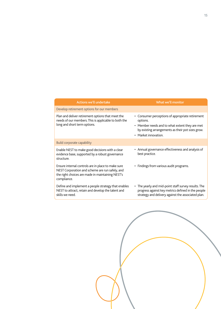| <b>Actions we'll undertake</b>                                                                                                                                           | What we'll monitor                                                                                                                                                                          |  |  |  |
|--------------------------------------------------------------------------------------------------------------------------------------------------------------------------|---------------------------------------------------------------------------------------------------------------------------------------------------------------------------------------------|--|--|--|
| Develop retirement options for our members                                                                                                                               |                                                                                                                                                                                             |  |  |  |
| Plan and deliver retirement options that meet the<br>needs of our members. This is applicable to both the<br>long and short term options.                                | • Consumer perceptions of appropriate retirement<br>options.<br>• Member needs and to what extent they are met<br>by existing arrangements as their pot sizes grow.<br>• Market innovation. |  |  |  |
| Build corporate capability                                                                                                                                               |                                                                                                                                                                                             |  |  |  |
| Enable NEST to make good decisions with a clear<br>evidence base, supported by a robust governance<br>structure.                                                         | • Annual governance effectiveness and analysis of<br>best practice.                                                                                                                         |  |  |  |
| Ensure internal controls are in place to make sure<br>NEST Corporation and scheme are run safely, and<br>the right choices are made in maintaining NEST's<br>compliance. | • Findings from various audit programs.                                                                                                                                                     |  |  |  |
| Define and implement a people strategy that enables<br>NEST to attract, retain and develop the talent and<br>skills we need.                                             | • The yearly and mid-point staff survey results. The<br>progress against key metrics defined in the people<br>strategy and delivery against the associated plan.                            |  |  |  |

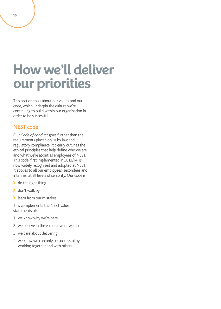# **How we'll deliver our priorities**

This section talks about our values and our code, which underpin the culture we're continuing to build within our organisation in order to be successful.

#### NEST code

Our *Code of conduct* goes further than the requirements placed on us by law and regulatory compliance. It clearly outlines the ethical principles that help define who we are and what we're about as employees of NEST. This code, first implemented in 2013/14, is now widely recognised and adopted at NEST. It applies to all our employees, secondees and interims, at all levels of seniority. Our code is:

- **b** do the right thing
- **b** don't walk by
- **S** learn from our mistakes.

This complements the NEST value statements of:

- 1. we know why we're here
- 2. we believe in the value of what we do
- 3. we care about delivering
- 4. we know we can only be successful by working together and with others.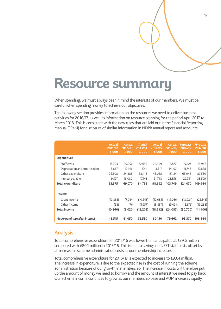## **Resource summary**

When spending, we must always bear in mind the interests of our members. We must be careful when spending money to achieve our objectives.

The following section provides information on the resources we need to deliver business activities for 2016/17, as well as information on resource planning for the period April 2017 to March 2018. This is consistent with the new rules that are laid out in the Financial Reporting Manual (FReM) for disclosure of similar information in NDPB annual report and accounts.

|                                | <b>Actual</b><br>2011/12<br>E'000 | <b>Actual</b><br>2012/13<br>E'000 | <b>Actual</b><br>2013/14<br>£'000 | <b>Actual</b><br>2014/15<br>E'000 | <b>Actual</b><br>2015/16<br>E'000 | <b>Forecast</b><br>2016/17<br>$E'$ 000 | <b>Forecast</b><br>2017/18<br>£'000 |
|--------------------------------|-----------------------------------|-----------------------------------|-----------------------------------|-----------------------------------|-----------------------------------|----------------------------------------|-------------------------------------|
| Expenditure                    |                                   |                                   |                                   |                                   |                                   |                                        |                                     |
| Staff costs                    | 18,793                            | 20,956                            | 22,645                            | 20,399                            | 18,877                            | 19,527                                 | 18,967                              |
| Depreciation and amortisation  | 5,667                             | 10,146                            | 11,544                            | 13,517                            | 14,192                            | 11,746                                 | 12,828                              |
| Other expenditure              | 25,308                            | 24,888                            | 33,418                            | 43,028                            | 45,124                            | 63,046                                 | 82,550                              |
| Interest payable               | 9,597                             | 13,080                            | 17,145                            | 21,748                            | 25,556                            | 29,751                                 | 35,599                              |
| <b>Total expenditure</b>       | 53,375                            | 69,070                            | 84,752                            | 98,692                            | 103,749                           | 124,070                                | 149,944                             |
| Income                         |                                   |                                   |                                   |                                   |                                   |                                        |                                     |
| Grant income                   | (10, 832)                         | (7,944)                           | (10, 245)                         | (12,685)                          | (15,066)                          | (18, 024)                              | (22, 142)                           |
| Other income                   | (28)                              | (76)                              | (1, 957)                          | (5,857)                           | (9,021)                           | (12, 676)                              | (19,258)                            |
| <b>Total income</b>            | (10, 860)                         | (8,020)                           | (12,202)                          | (18, 542)                         | (24, 087)                         | (30,700)                               | (41,400)                            |
| Net expenditure after interest | 48,515                            | 61,050                            | 72,550                            | 80,150                            | 79,662                            | 93,370                                 | 108,544                             |

#### Analysis

Total comprehensive expenditure for 2015/16 was lower than anticipated at £79.6 million compared with £80.1 million in 2015/16. This is due to savings on NEST staff costs offset by an increase in scheme administration costs as our membership increases.

Total comprehensive expenditure for 2016/17 is expected to increase to £93.4 million. The increase in expenditure is due to the expected rise in the cost of running the scheme administration because of our growth in membership. The increase in costs will therefore put up the amount of money we need to borrow and the amount of interest we need to pay back. Our scheme income continues to grow as our membership base and AUM increases rapidly.